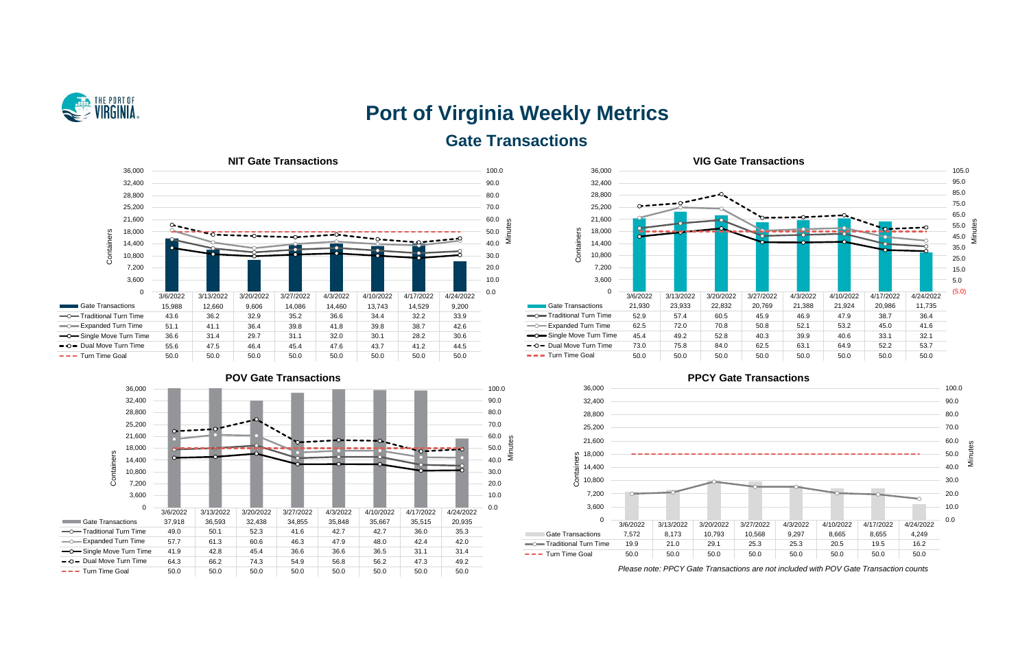

# **Port of Virginia Weekly Metrics Gate Transactions**











*Please note: PPCY Gate Transactions are not included with POV Gate Transaction counts*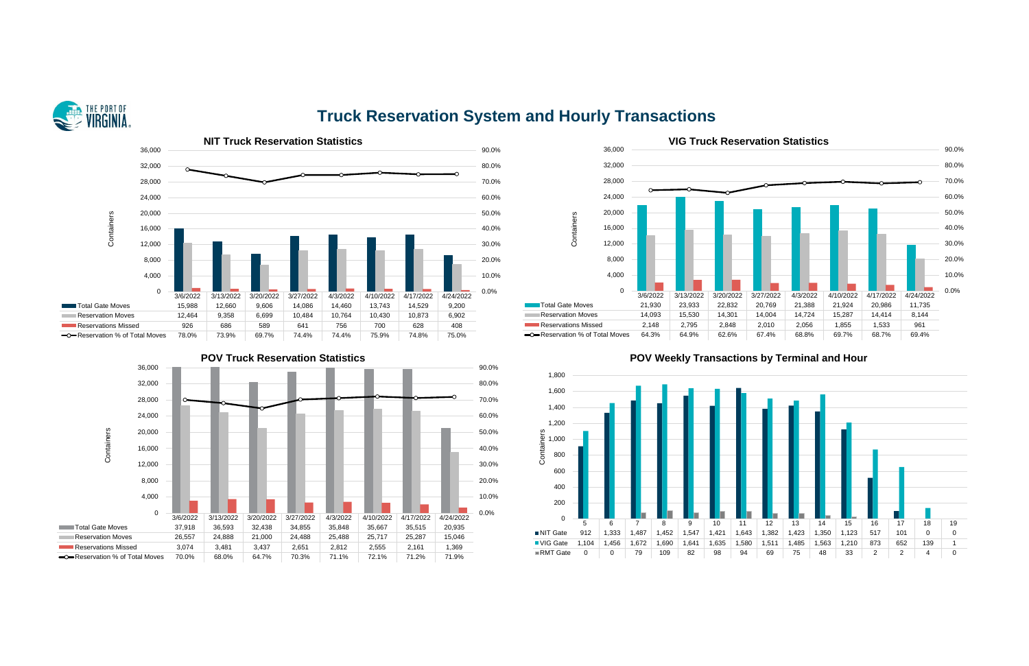

## **Truck Reservation System and Hourly Transactions**







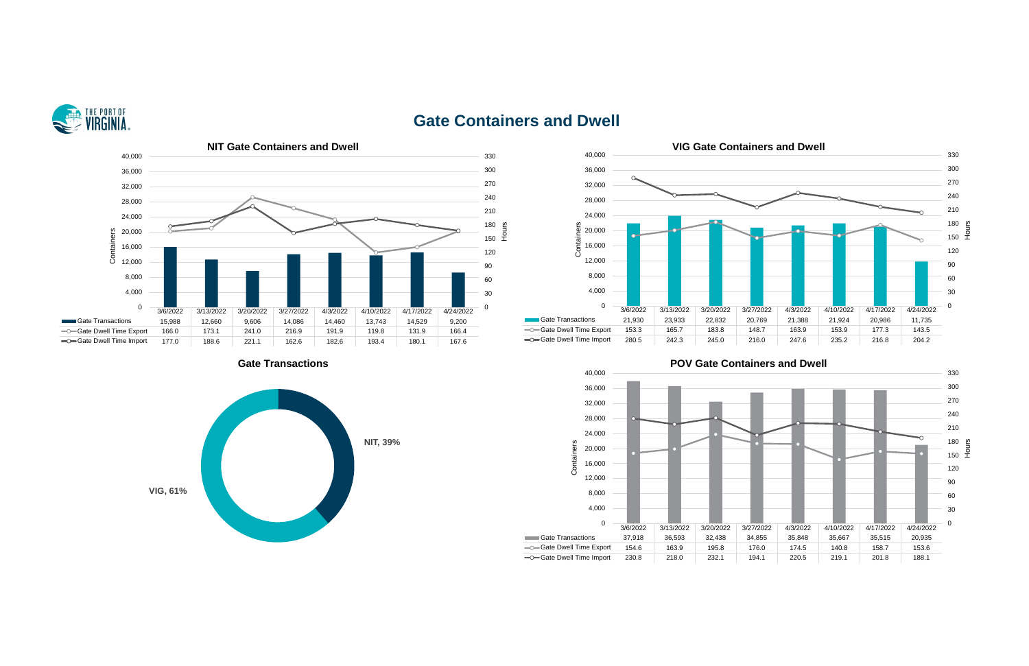

### **Gate Containers and Dwell**









**Cate Transactions Gate Containers and Dwell**